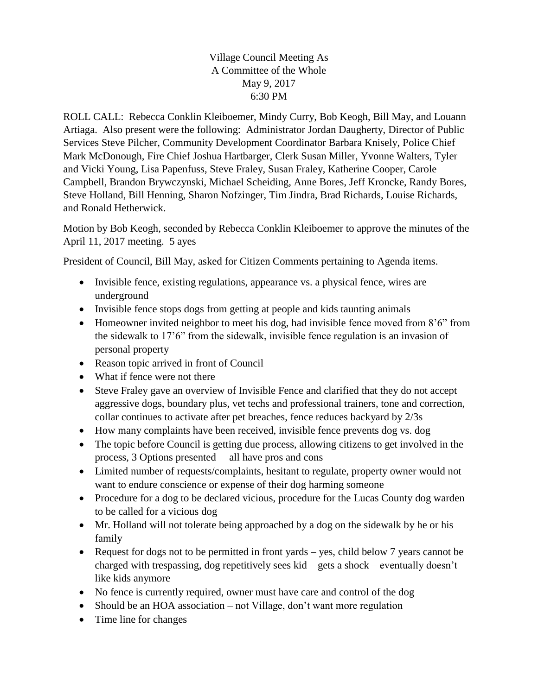Village Council Meeting As A Committee of the Whole May 9, 2017 6:30 PM

ROLL CALL: Rebecca Conklin Kleiboemer, Mindy Curry, Bob Keogh, Bill May, and Louann Artiaga. Also present were the following: Administrator Jordan Daugherty, Director of Public Services Steve Pilcher, Community Development Coordinator Barbara Knisely, Police Chief Mark McDonough, Fire Chief Joshua Hartbarger, Clerk Susan Miller, Yvonne Walters, Tyler and Vicki Young, Lisa Papenfuss, Steve Fraley, Susan Fraley, Katherine Cooper, Carole Campbell, Brandon Brywczynski, Michael Scheiding, Anne Bores, Jeff Kroncke, Randy Bores, Steve Holland, Bill Henning, Sharon Nofzinger, Tim Jindra, Brad Richards, Louise Richards, and Ronald Hetherwick.

Motion by Bob Keogh, seconded by Rebecca Conklin Kleiboemer to approve the minutes of the April 11, 2017 meeting. 5 ayes

President of Council, Bill May, asked for Citizen Comments pertaining to Agenda items.

- Invisible fence, existing regulations, appearance vs. a physical fence, wires are underground
- Invisible fence stops dogs from getting at people and kids taunting animals
- Homeowner invited neighbor to meet his dog, had invisible fence moved from 8'6" from the sidewalk to 17'6" from the sidewalk, invisible fence regulation is an invasion of personal property
- Reason topic arrived in front of Council
- What if fence were not there
- Steve Fraley gave an overview of Invisible Fence and clarified that they do not accept aggressive dogs, boundary plus, vet techs and professional trainers, tone and correction, collar continues to activate after pet breaches, fence reduces backyard by 2/3s
- How many complaints have been received, invisible fence prevents dog vs. dog
- The topic before Council is getting due process, allowing citizens to get involved in the process, 3 Options presented – all have pros and cons
- Limited number of requests/complaints, hesitant to regulate, property owner would not want to endure conscience or expense of their dog harming someone
- Procedure for a dog to be declared vicious, procedure for the Lucas County dog warden to be called for a vicious dog
- Mr. Holland will not tolerate being approached by a dog on the sidewalk by he or his family
- Request for dogs not to be permitted in front yards yes, child below 7 years cannot be charged with trespassing, dog repetitively sees kid – gets a shock – eventually doesn't like kids anymore
- No fence is currently required, owner must have care and control of the dog
- Should be an HOA association not Village, don't want more regulation
- Time line for changes